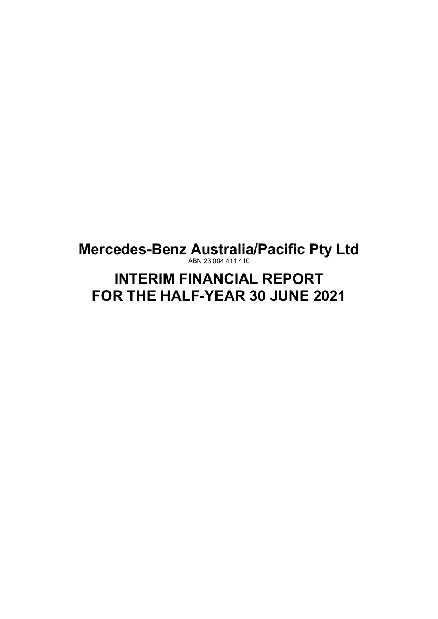ABN 23 004 411 410

# **INTERIM FINANCIAL REPORT FOR THE HALF-YEAR 30 JUNE 2021**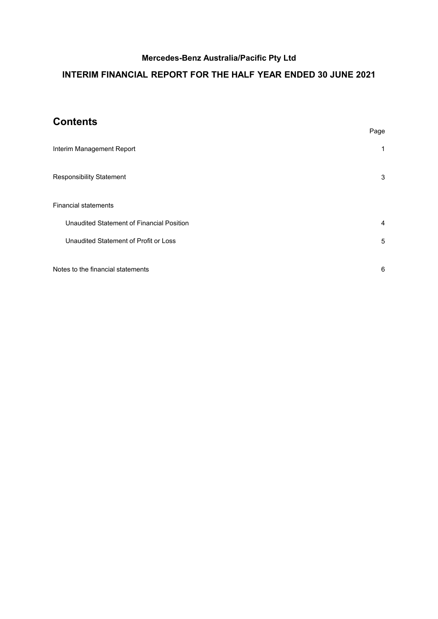# **INTERIM FINANCIAL REPORT FOR THE HALF YEAR ENDED 30 JUNE 2021**

# **Contents**

|                                           | Page |
|-------------------------------------------|------|
| Interim Management Report                 | 1    |
| <b>Responsibility Statement</b>           | 3    |
| <b>Financial statements</b>               |      |
| Unaudited Statement of Financial Position | 4    |
| Unaudited Statement of Profit or Loss     | 5    |
| Notes to the financial statements         | 6    |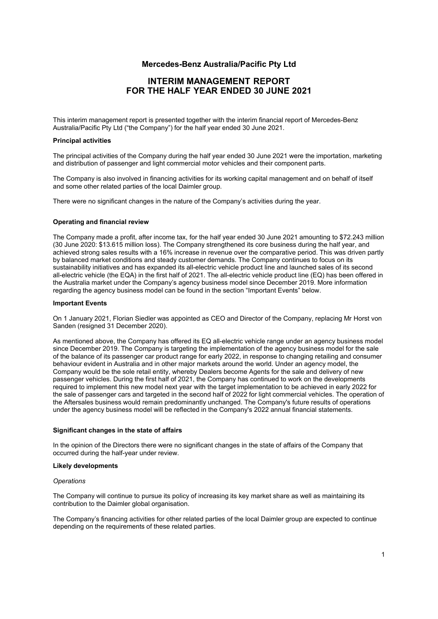# **INTERIM MANAGEMENT REPORT FOR THE HALF YEAR ENDED 30 JUNE 2021**

<span id="page-2-0"></span>This interim management report is presented together with the interim financial report of Mercedes-Benz Australia/Pacific Pty Ltd ("the Company") for the half year ended 30 June 2021.

### **Principal activities**

The principal activities of the Company during the half year ended 30 June 2021 were the importation, marketing and distribution of passenger and light commercial motor vehicles and their component parts.

The Company is also involved in financing activities for its working capital management and on behalf of itself and some other related parties of the local Daimler group.

There were no significant changes in the nature of the Company's activities during the year.

#### **Operating and financial review**

The Company made a profit, after income tax, for the half year ended 30 June 2021 amounting to \$72.243 million (30 June 2020: \$13.615 million loss). The Company strengthened its core business during the half year, and achieved strong sales results with a 16% increase in revenue over the comparative period. This was driven partly by balanced market conditions and steady customer demands. The Company continues to focus on its sustainability initiatives and has expanded its all-electric vehicle product line and launched sales of its second all-electric vehicle (the EQA) in the first half of 2021. The all-electric vehicle product line (EQ) has been offered in the Australia market under the Company's agency business model since December 2019. More information regarding the agency business model can be found in the section "Important Events" below.

#### **Important Events**

On 1 January 2021, Florian Siedler was appointed as CEO and Director of the Company, replacing Mr Horst von Sanden (resigned 31 December 2020).

As mentioned above, the Company has offered its EQ all-electric vehicle range under an agency business model since December 2019. The Company is targeting the implementation of the agency business model for the sale of the balance of its passenger car product range for early 2022, in response to changing retailing and consumer behaviour evident in Australia and in other major markets around the world. Under an agency model, the Company would be the sole retail entity, whereby Dealers become Agents for the sale and delivery of new passenger vehicles. During the first half of 2021, the Company has continued to work on the developments required to implement this new model next year with the target implementation to be achieved in early 2022 for the sale of passenger cars and targeted in the second half of 2022 for light commercial vehicles. The operation of the Aftersales business would remain predominantly unchanged. The Company's future results of operations under the agency business model will be reflected in the Company's 2022 annual financial statements.

#### **Significant changes in the state of affairs**

In the opinion of the Directors there were no significant changes in the state of affairs of the Company that occurred during the half-year under review.

#### **Likely developments**

#### *Operations*

The Company will continue to pursue its policy of increasing its key market share as well as maintaining its contribution to the Daimler global organisation.

The Company's financing activities for other related parties of the local Daimler group are expected to continue depending on the requirements of these related parties.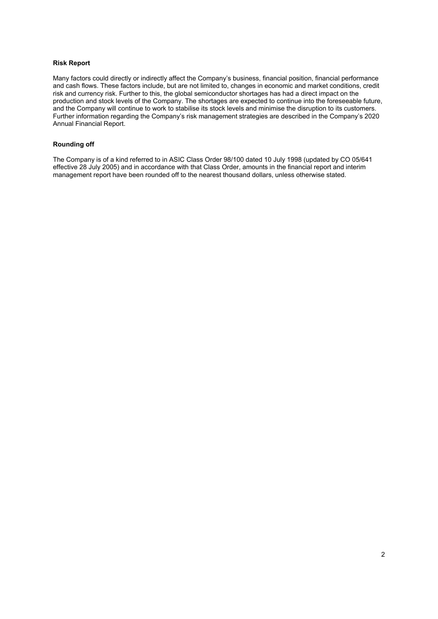### **Risk Report**

Many factors could directly or indirectly affect the Company's business, financial position, financial performance and cash flows. These factors include, but are not limited to, changes in economic and market conditions, credit risk and currency risk. Further to this, the global semiconductor shortages has had a direct impact on the production and stock levels of the Company. The shortages are expected to continue into the foreseeable future, and the Company will continue to work to stabilise its stock levels and minimise the disruption to its customers. Further information regarding the Company's risk management strategies are described in the Company's 2020 Annual Financial Report.

### **Rounding off**

The Company is of a kind referred to in ASIC Class Order 98/100 dated 10 July 1998 (updated by CO 05/641 effective 28 July 2005) and in accordance with that Class Order, amounts in the financial report and interim management report have been rounded off to the nearest thousand dollars, unless otherwise stated.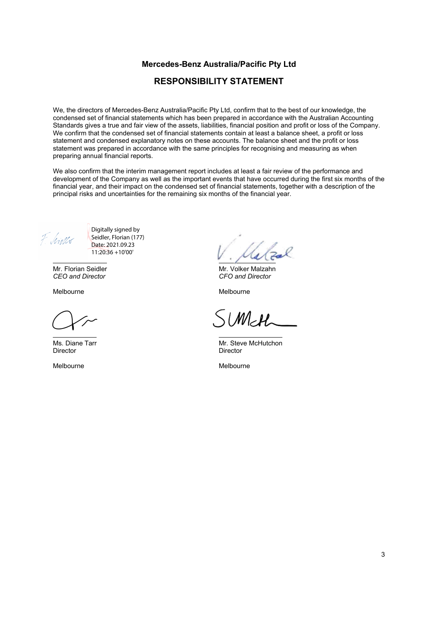# **RESPONSIBILITY STATEMENT**

<span id="page-4-0"></span>We, the directors of Mercedes-Benz Australia/Pacific Pty Ltd, confirm that to the best of our knowledge, the condensed set of financial statements which has been prepared in accordance with the Australian Accounting Standards gives a true and fair view of the assets, liabilities, financial position and profit or loss of the Company. We confirm that the condensed set of financial statements contain at least a balance sheet, a profit or loss statement and condensed explanatory notes on these accounts. The balance sheet and the profit or loss statement was prepared in accordance with the same principles for recognising and measuring as when preparing annual financial reports.

We also confirm that the interim management report includes at least a fair review of the performance and development of the Company as well as the important events that have occurred during the first six months of the financial year, and their impact on the condensed set of financial statements, together with a description of the principal risks and uncertainties for the remaining six months of the financial year.

F. Simps

Digitally signed by Seidler, Florian (177) Date: 2021.09.23 11:20:36 +10'00'

Mr. Florian Seidler *CEO and Director*

Melbourne

Ms. Diane Tarr Director

Melbourne

Mr. Volker Malzahn *CFO and Director*

Melbourne

SUMEH

Mr. Steve McHutchon Director

Melbourne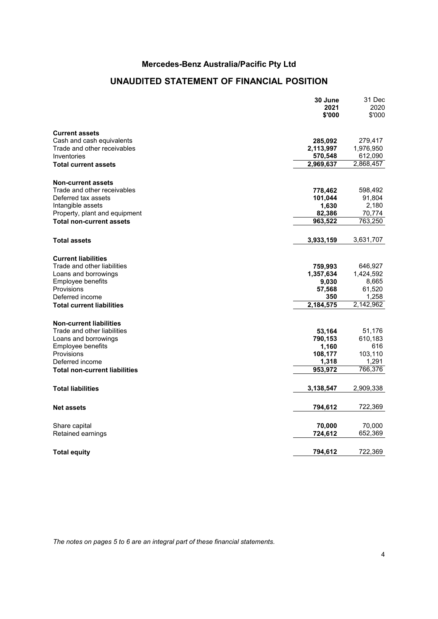# **UNAUDITED STATEMENT OF FINANCIAL POSITION**

<span id="page-5-0"></span>

|                                    | 30 June<br>2021<br>\$'000 | 31 Dec<br>2020<br>\$'000 |
|------------------------------------|---------------------------|--------------------------|
|                                    |                           |                          |
| <b>Current assets</b>              |                           |                          |
| Cash and cash equivalents          | 285,092                   | 279,417                  |
| Trade and other receivables        | 2,113,997                 | 1,976,950                |
| Inventories                        | 570,548                   | 612,090                  |
| <b>Total current assets</b>        | 2,969,637                 | 2,868,457                |
| <b>Non-current assets</b>          |                           |                          |
| Trade and other receivables        | 778,462                   | 598,492                  |
| Deferred tax assets                | 101,044                   | 91,804                   |
| Intangible assets                  | 1,630                     | 2,180                    |
| Property, plant and equipment      | 82,386                    | 70,774                   |
| <b>Total non-current assets</b>    | 963,522                   | 763,250                  |
| <b>Total assets</b>                | 3,933,159                 | 3,631,707                |
| <b>Current liabilities</b>         |                           |                          |
| Trade and other liabilities        | 759,993                   | 646,927                  |
| Loans and borrowings               | 1,357,634                 | 1,424,592                |
| Employee benefits                  | 9,030                     | 8,665                    |
| Provisions                         | 57,568                    | 61,520                   |
| Deferred income                    | 350                       | 1,258                    |
| <b>Total current liabilities</b>   | 2,184,575                 | 2,142,962                |
| <b>Non-current liabilities</b>     |                           |                          |
| Trade and other liabilities        | 53,164                    | 51,176                   |
| Loans and borrowings               | 790,153                   | 610,183                  |
| Employee benefits                  | 1,160                     | 616                      |
| Provisions                         | 108,177                   | 103,110                  |
| Deferred income                    | 1,318                     | 1,291                    |
| Total non-current liabilities      | 953,972                   | 766,376                  |
| <b>Total liabilities</b>           | 3,138,547                 | 2,909,338                |
| <b>Net assets</b>                  | 794,612                   | 722,369                  |
|                                    |                           |                          |
| Share capital<br>Retained earnings | 70,000<br>724,612         | 70,000<br>652,369        |
|                                    |                           |                          |
| <b>Total equity</b>                | 794,612                   | 722,369                  |

*The notes on pages 5 to 6 are an integral part of these financial statements.*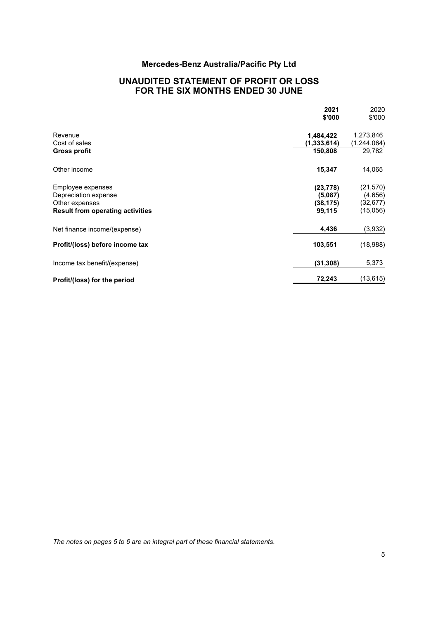# **UNAUDITED STATEMENT OF PROFIT OR LOSS FOR THE SIX MONTHS ENDED 30 JUNE**

<span id="page-6-0"></span>

|                                         | 2021<br>\$'000 | 2020<br>\$'000 |
|-----------------------------------------|----------------|----------------|
| Revenue                                 | 1,484,422      | 1,273,846      |
| Cost of sales                           | (1, 333, 614)  | (1, 244, 064)  |
| Gross profit                            | 150,808        | 29,782         |
| Other income                            | 15,347         | 14,065         |
| Employee expenses                       | (23, 778)      | (21, 570)      |
| Depreciation expense                    | (5,087)        | (4,656)        |
| Other expenses                          | (38, 175)      | (32, 677)      |
| <b>Result from operating activities</b> | 99,115         | (15,056)       |
| Net finance income/(expense)            | 4,436          | (3,932)        |
| Profit/(loss) before income tax         | 103,551        | (18,988)       |
| Income tax benefit/(expense)            | (31, 308)      | 5,373          |
| Profit/(loss) for the period            | 72,243         | (13, 615)      |

*The notes on pages 5 to 6 are an integral part of these financial statements.*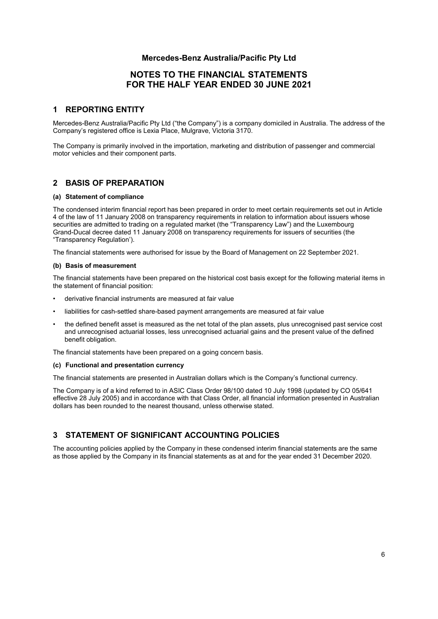# **NOTES TO THE FINANCIAL STATEMENTS FOR THE HALF YEAR ENDED 30 JUNE 2021**

### <span id="page-7-0"></span>**1 REPORTING ENTITY**

Mercedes-Benz Australia/Pacific Pty Ltd ("the Company") is a company domiciled in Australia. The address of the Company's registered office is Lexia Place, Mulgrave, Victoria 3170.

The Company is primarily involved in the importation, marketing and distribution of passenger and commercial motor vehicles and their component parts.

### **2 BASIS OF PREPARATION**

### **(a) Statement of compliance**

The condensed interim financial report has been prepared in order to meet certain requirements set out in Article 4 of the law of 11 January 2008 on transparency requirements in relation to information about issuers whose securities are admitted to trading on a regulated market (the "Transparency Law") and the Luxembourg Grand-Ducal decree dated 11 January 2008 on transparency requirements for issuers of securities (the "Transparency Regulation').

The financial statements were authorised for issue by the Board of Management on 22 September 2021.

#### **(b) Basis of measurement**

The financial statements have been prepared on the historical cost basis except for the following material items in the statement of financial position:

- derivative financial instruments are measured at fair value
- liabilities for cash-settled share-based payment arrangements are measured at fair value
- the defined benefit asset is measured as the net total of the plan assets, plus unrecognised past service cost and unrecognised actuarial losses, less unrecognised actuarial gains and the present value of the defined benefit obligation.

The financial statements have been prepared on a going concern basis.

### **(c) Functional and presentation currency**

The financial statements are presented in Australian dollars which is the Company's functional currency.

The Company is of a kind referred to in ASIC Class Order 98/100 dated 10 July 1998 (updated by CO 05/641 effective 28 July 2005) and in accordance with that Class Order, all financial information presented in Australian dollars has been rounded to the nearest thousand, unless otherwise stated.

# **3 STATEMENT OF SIGNIFICANT ACCOUNTING POLICIES**

The accounting policies applied by the Company in these condensed interim financial statements are the same as those applied by the Company in its financial statements as at and for the year ended 31 December 2020.